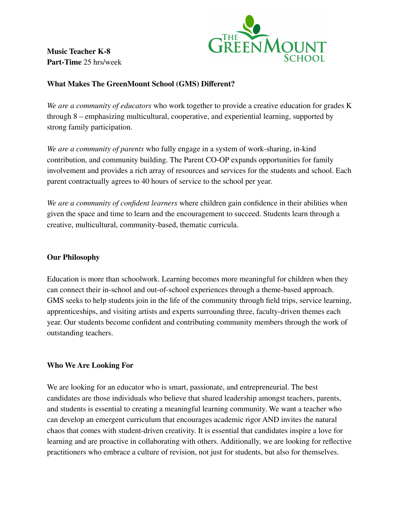**Music Teacher K-8 Part-Time** 25 hrs/week



## **What Makes The GreenMount School (GMS) Different?**

*We are a community of educators* who work together to provide a creative education for grades K through 8 – emphasizing multicultural, cooperative, and experiential learning, supported by strong family participation.

*We are a community of parents* who fully engage in a system of work-sharing, in-kind contribution, and community building. The Parent CO-OP expands opportunities for family involvement and provides a rich array of resources and services for the students and school. Each parent contractually agrees to 40 hours of service to the school per year.

*We are a community of confident learners* where children gain confidence in their abilities when given the space and time to learn and the encouragement to succeed. Students learn through a creative, multicultural, community-based, thematic curricula.

### **Our Philosophy**

Education is more than schoolwork. Learning becomes more meaningful for children when they can connect their in-school and out-of-school experiences through a theme-based approach. GMS seeks to help students join in the life of the community through field trips, service learning, apprenticeships, and visiting artists and experts surrounding three, faculty-driven themes each year. Our students become confident and contributing community members through the work of outstanding teachers.

### **Who We Are Looking For**

We are looking for an educator who is smart, passionate, and entrepreneurial. The best candidates are those individuals who believe that shared leadership amongst teachers, parents, and students is essential to creating a meaningful learning community. We want a teacher who can develop an emergent curriculum that encourages academic rigor AND invites the natural chaos that comes with student-driven creativity. It is essential that candidates inspire a love for learning and are proactive in collaborating with others. Additionally, we are looking for reflective practitioners who embrace a culture of revision, not just for students, but also for themselves.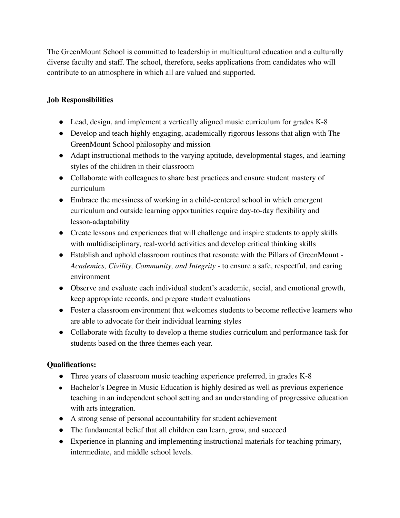The GreenMount School is committed to leadership in multicultural education and a culturally diverse faculty and staff. The school, therefore, seeks applications from candidates who will contribute to an atmosphere in which all are valued and supported.

# **Job Responsibilities**

- Lead, design, and implement a vertically aligned music curriculum for grades K-8
- Develop and teach highly engaging, academically rigorous lessons that align with The GreenMount School philosophy and mission
- Adapt instructional methods to the varying aptitude, developmental stages, and learning styles of the children in their classroom
- Collaborate with colleagues to share best practices and ensure student mastery of curriculum
- Embrace the messiness of working in a child-centered school in which emergent curriculum and outside learning opportunities require day-to-day flexibility and lesson-adaptability
- Create lessons and experiences that will challenge and inspire students to apply skills with multidisciplinary, real-world activities and develop critical thinking skills
- Establish and uphold classroom routines that resonate with the Pillars of GreenMount *Academics, Civility, Community, and Integrity -* to ensure a safe, respectful, and caring environment
- Observe and evaluate each individual student's academic, social, and emotional growth, keep appropriate records, and prepare student evaluations
- Foster a classroom environment that welcomes students to become reflective learners who are able to advocate for their individual learning styles
- Collaborate with faculty to develop a theme studies curriculum and performance task for students based on the three themes each year.

## **Qualifications:**

- Three years of classroom music teaching experience preferred, in grades K-8
- Bachelor's Degree in Music Education is highly desired as well as previous experience teaching in an independent school setting and an understanding of progressive education with arts integration.
- A strong sense of personal accountability for student achievement
- The fundamental belief that all children can learn, grow, and succeed
- Experience in planning and implementing instructional materials for teaching primary, intermediate, and middle school levels.